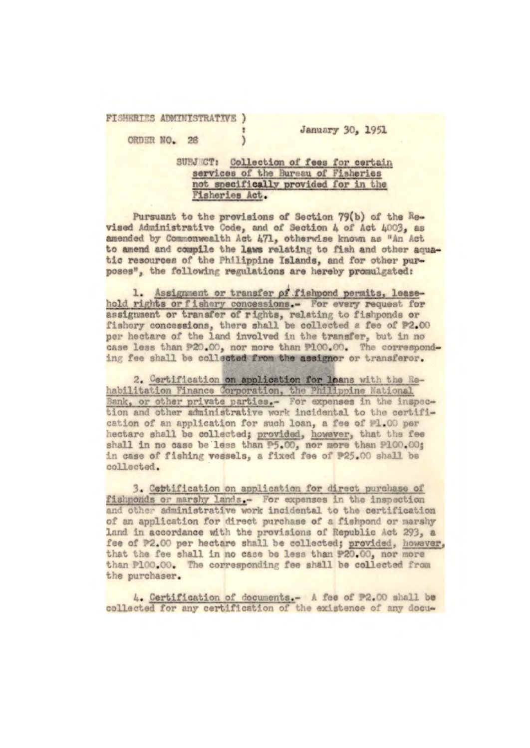FISHERIES ADMINISTRATIVE )

January 30, 1951

ORDER NO. 28

SUBJ CT: Collection of fees for certain services of the Bureau of Fisheries not specifically provided for in the Fisheries Act.

 $\mathcal{E}$ 

Pursuant to the provisions of Section 79(b) of the Revised Administrative Code, and of Section 4 of Act 4003, as amended by Commonwealth Act 471, otherwise known as "An Act to amend and compile the laws relating to fish and other aquatic resources of the Philippine Islands, and for other purposes", the following regulations are hereby promulgated:

1. Assignment or transfer of fishpond permits, leasehold rights or fishery concessions.- For every request for<br>assignment or transfer of rights, relating to fishponds or<br>fishery concessions, there shall be collected a fee of P2.00 per hectare of the land involved in the transfer, but in no case less than P20.00, nor more than P100.00. The corresponding fee shall be collected from the assignor or transferor.

2. Certification on application for leans with the Rehabilitation Finance Corporation, the Philippine National Bank, or other private parties.- For expenses in the inspection and other administrative work incidental to the certification of an application for such loan, a fee of #1.00 per hectare shall be collected; provided, however, that the fee shall in no case be less than P5.00, nor more than P100.00; in case of fishing vessels, a fixed fee of P25.00 shall be collected.

3. Cettification on application for direct purchase of fishponds or marshy lands. For expenses in the inspection and other administrative work incidental to the certification of an application for direct purchase of a fishpond or marshy land in accordance with the provisions of Republic Act 293, a fee of P2.00 per hectare shall be collected; provided, however, that the fee shall in no case be less than P20.00, nor more than P100.00. The corresponding fee shall be collected from the purchaser.

4. Certification of documents.- A fee of P2.00 shall be collected for any certification of the existence of any docu